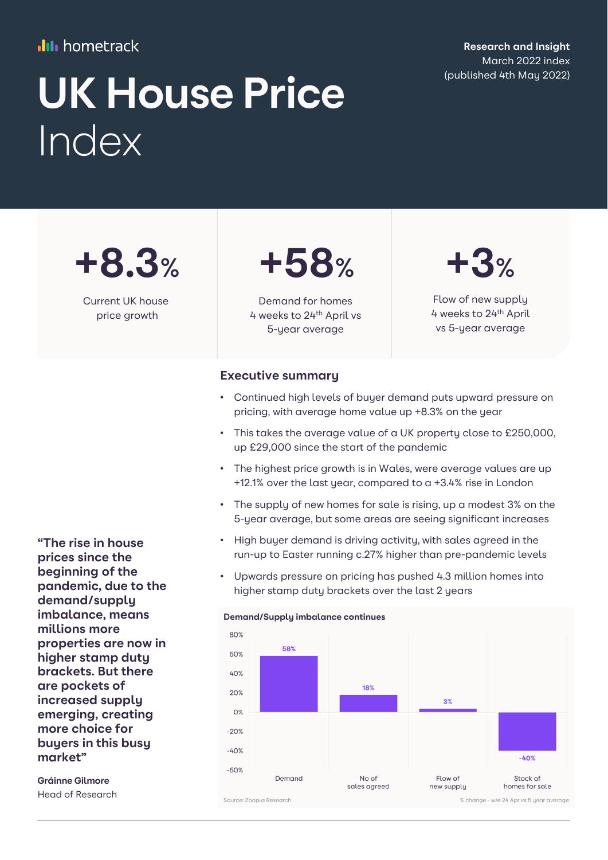#### **III** hometrack

**Research and Insight** March 2022 index

# UK House Price **Canadian May 2022** Index

**+8.3%**

Current UK house price growth



Demand for homes 4 weeks to 24th April vs 5-year average

## **+3%**

Flow of new supply 4 weeks to 24th April vs 5-year average

#### **Executive summary**

- Continued high levels of buyer demand puts upward pressure on pricing, with average home value up +8.3% on the year
- This takes the average value of a UK property close to £250,000. up £29,000 since the start of the pandemic
- The highest price growth is in Wales, were average values are up +12.1% over the last year, compared to a +3.4% rise in London
- The supply of new homes for sale is rising, up a modest 3% on the 5-year average, but some areas are seeing significant increases
- High buyer demand is driving activity, with sales agreed in the run-up to Easter running c.27% higher than pre-pandemic levels
- Upwards pressure on pricing has pushed 4.3 million homes into higher stamp duty brackets over the last 2 years



**"The rise in house prices since the beginning of the pandemic, due to the demand/supply imbalance, means millions more properties are now in higher stamp duty brackets. But there are pockets of increased supply emerging, creating more choice for buyers in this busy market"** 

**Gráinne Gilmore**  Head of Research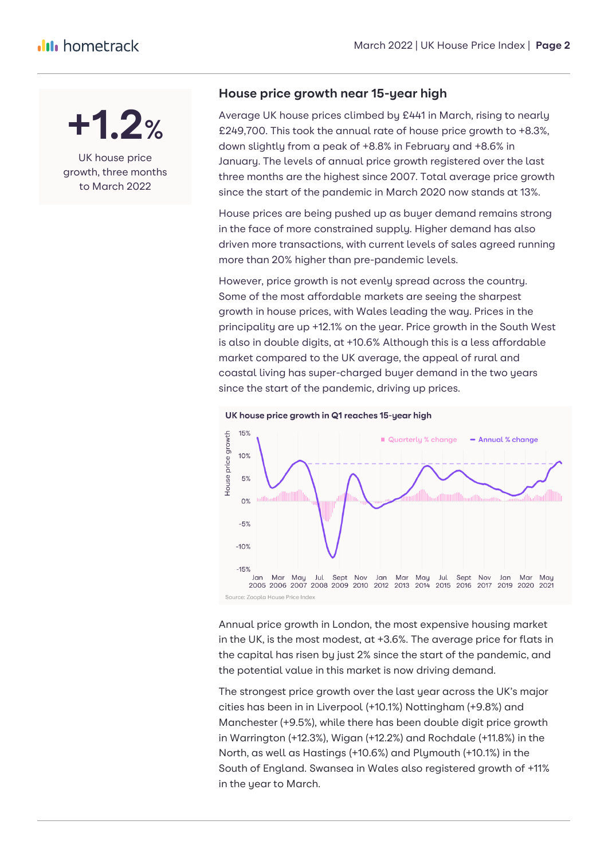

UK house price growth, three months to March 2022

#### **House price growth near 15-year high**

Average UK house prices climbed by £441 in March, rising to nearly £249,700. This took the annual rate of house price growth to +8.3%, down slightly from a peak of +8.8% in February and +8.6% in January. The levels of annual price growth registered over the last three months are the highest since 2007. Total average price growth since the start of the pandemic in March 2020 now stands at 13%.

House prices are being pushed up as buyer demand remains strong in the face of more constrained supply. Higher demand has also driven more transactions, with current levels of sales agreed running more than 20% higher than pre-pandemic levels.

However, price growth is not evenly spread across the country. Some of the most affordable markets are seeing the sharpest growth in house prices, with Wales leading the way. Prices in the principality are up +12.1% on the year. Price growth in the South West is also in double digits, at +10.6% Although this is a less affordable market compared to the UK average, the appeal of rural and coastal living has super-charged buyer demand in the two years since the start of the pandemic, driving up prices.



UK house price growth in Q1 reaches 15-year high

Annual price growth in London, the most expensive housing market in the UK, is the most modest, at +3.6%. The average price for flats in the capital has risen by just 2% since the start of the pandemic, and the potential value in this market is now driving demand.

The strongest price growth over the last year across the UK's major cities has been in in Liverpool (+10.1%) Nottingham (+9.8%) and Manchester (+9.5%), while there has been double digit price growth in Warrington (+12.3%), Wigan (+12.2%) and Rochdale (+11.8%) in the North, as well as Hastings (+10.6%) and Plymouth (+10.1%) in the South of England. Swansea in Wales also registered growth of +11% in the year to March.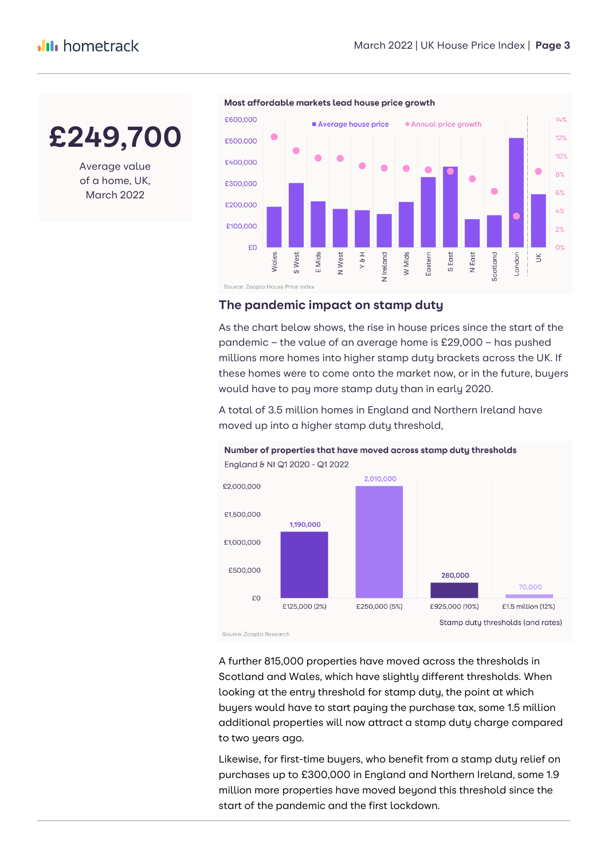**£249,700**

Average value of a home, UK, March 2022



Most affordable markets lead house price growth

#### **The pandemic impact on stamp duty**

As the chart below shows, the rise in house prices since the start of the pandemic – the value of an average home is £29,000 – has pushed millions more homes into higher stamp duty brackets across the UK. If these homes were to come onto the market now, or in the future, buyers would have to pay more stamp duty than in early 2020.

A total of 3.5 million homes in England and Northern Ireland have moved up into a higher stamp duty threshold,



Number of properties that have moved across stamp duty thresholds

A further 815,000 properties have moved across the thresholds in Scotland and Wales, which have slightly different thresholds. When looking at the entry threshold for stamp duty, the point at which buyers would have to start paying the purchase tax, some 1.5 million additional properties will now attract a stamp duty charge compared to two years ago.

Likewise, for first-time buyers, who benefit from a stamp duty relief on purchases up to £300,000 in England and Northern Ireland, some 1.9 million more properties have moved beyond this threshold since the start of the pandemic and the first lockdown.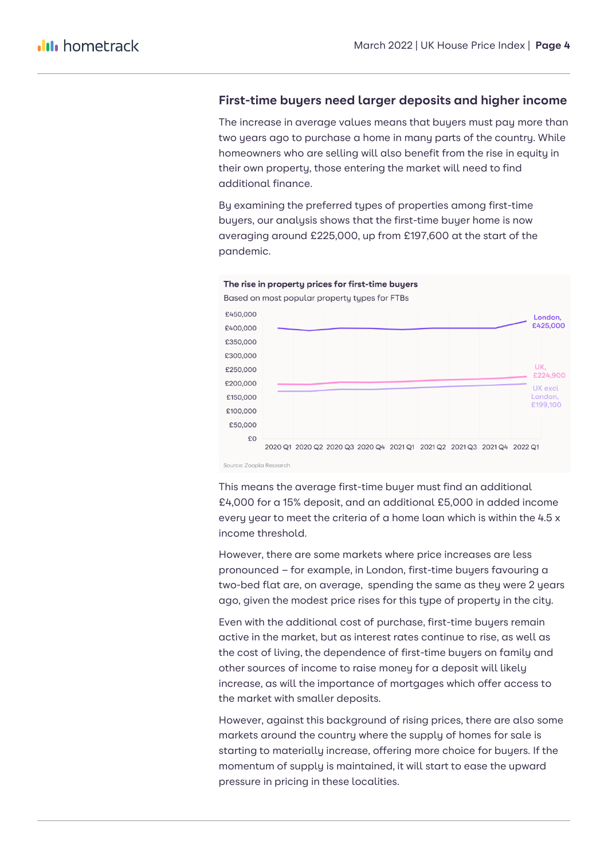#### **First-time buyers need larger deposits and higher income**

The increase in average values means that buyers must pay more than two years ago to purchase a home in many parts of the country. While homeowners who are selling will also benefit from the rise in equity in their own property, those entering the market will need to find additional finance.

By examining the preferred types of properties among first-time buyers, our analysis shows that the first-time buyer home is now averaging around £225,000, up from £197,600 at the start of the pandemic.



This means the average first-time buyer must find an additional £4,000 for a 15% deposit, and an additional £5,000 in added income every year to meet the criteria of a home loan which is within the 4.5 x income threshold.

However, there are some markets where price increases are less pronounced – for example, in London, first-time buyers favouring a two-bed flat are, on average, spending the same as they were 2 years ago, given the modest price rises for this type of property in the city.

Even with the additional cost of purchase, first-time buyers remain active in the market, but as interest rates continue to rise, as well as the cost of living, the dependence of first-time buyers on family and other sources of income to raise money for a deposit will likely increase, as will the importance of mortgages which offer access to the market with smaller deposits.

However, against this background of rising prices, there are also some markets around the country where the supply of homes for sale is starting to materially increase, offering more choice for buyers. If the momentum of supply is maintained, it will start to ease the upward pressure in pricing in these localities.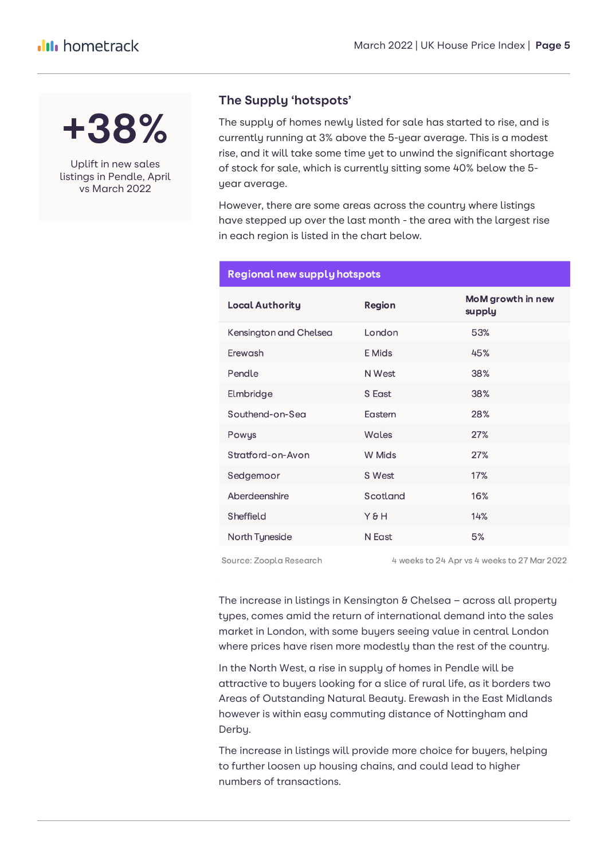**+38%**

Uplift in new sales listings in Pendle, April vs March 2022

#### **The Supply 'hotspots'**

The supply of homes newly listed for sale has started to rise, and is currently running at 3% above the 5-year average. This is a modest rise, and it will take some time yet to unwind the significant shortage of stock for sale, which is currently sitting some 40% below the 5 year average.

However, there are some areas across the country where listings have stepped up over the last month - the area with the largest rise in each region is listed in the chart below.

| <b>Local Authority</b> | <b>Region</b> | MoM growth in new<br>supply |
|------------------------|---------------|-----------------------------|
| Kensington and Chelsea | London        | 53%                         |
| Erewash                | E Mids        | 45%                         |
| Pendle                 | N West        | 38%                         |
| Elmbridge              | S East        | 38%                         |
| Southend-on-Sea        | Eastern       | 28%                         |
| Powys                  | Wales         | 27%                         |
| Stratford-on-Avon      | W Mids        | 27%                         |
| Sedgemoor              | S West        | 17%                         |
| Aberdeenshire          | Scotland      | 16%                         |
| Sheffield              | Y&H           | 14%                         |
| North Tyneside         | N East        | 5%                          |

#### **Regional new supply hotspots**

Source: Zoopla Research

4 weeks to 24 Apr vs 4 weeks to 27 Mar 2022

The increase in listings in Kensington & Chelsea - across all property types, comes amid the return of international demand into the sales market in London, with some buyers seeing value in central London where prices have risen more modestly than the rest of the country.

In the North West, a rise in supply of homes in Pendle will be attractive to buyers looking for a slice of rural life, as it borders two Areas of Outstanding Natural Beauty. Erewash in the East Midlands however is within easy commuting distance of Nottingham and Derby.

The increase in listings will provide more choice for buyers, helping to further loosen up housing chains, and could lead to higher numbers of transactions.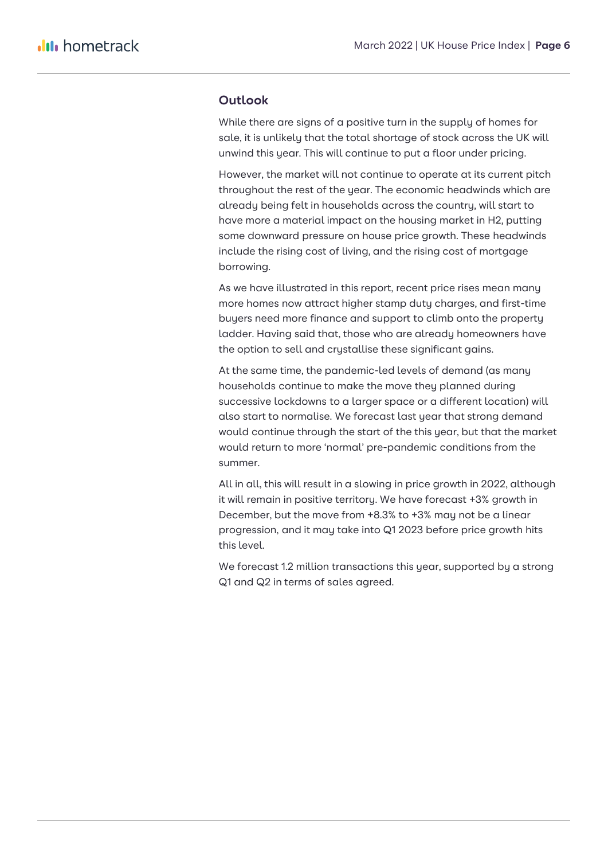#### **Outlook**

While there are signs of a positive turn in the supply of homes for sale, it is unlikely that the total shortage of stock across the UK will unwind this year. This will continue to put a floor under pricing.

However, the market will not continue to operate at its current pitch throughout the rest of the year. The economic headwinds which are already being felt in households across the country, will start to have more a material impact on the housing market in H2, putting some downward pressure on house price growth. These headwinds include the rising cost of living, and the rising cost of mortgage borrowing.

As we have illustrated in this report, recent price rises mean many more homes now attract higher stamp duty charges, and first-time buyers need more finance and support to climb onto the property ladder. Having said that, those who are already homeowners have the option to sell and crystallise these significant gains.

At the same time, the pandemic-led levels of demand (as many households continue to make the move they planned during successive lockdowns to a larger space or a different location) will also start to normalise. We forecast last year that strong demand would continue through the start of the this year, but that the market would return to more 'normal' pre-pandemic conditions from the summer.

All in all, this will result in a slowing in price growth in 2022, although it will remain in positive territory. We have forecast +3% growth in December, but the move from +8.3% to +3% may not be a linear progression, and it may take into Q1 2023 before price growth hits this level.

We forecast 1.2 million transactions this year, supported by a strong Q1 and Q2 in terms of sales agreed.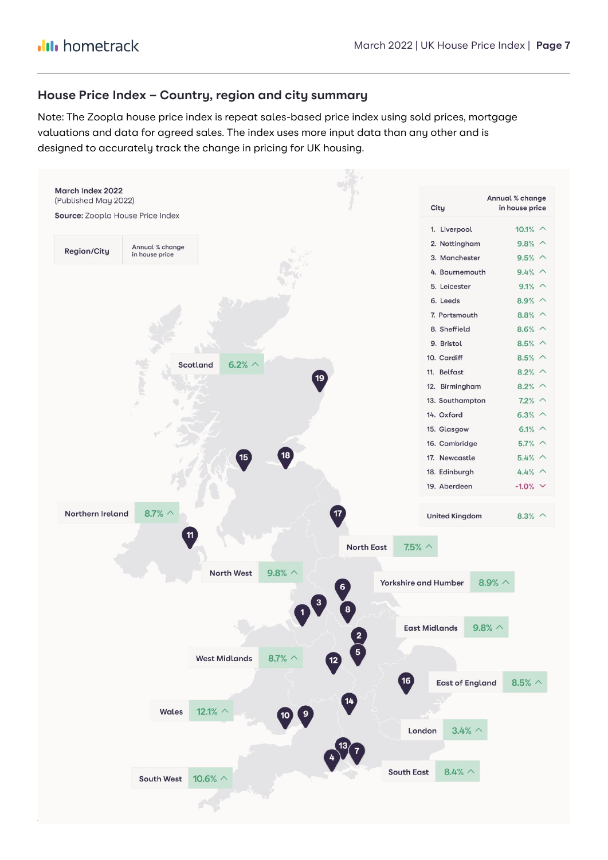#### **House Price Index – Country, region and city summary**

Note: The Zoopla house price index is repeat sales-based price index using sold prices, mortgage valuations and data for agreed sales. The index uses more input data than any other and is designed to accurately track the change in pricing for UK housing.